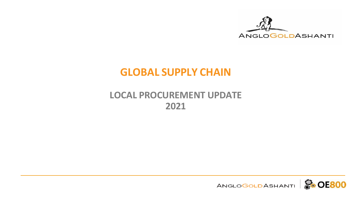

# **GLOBAL SUPPLY CHAIN**

### **LOCAL PROCUREMENT UPDATE 2021**

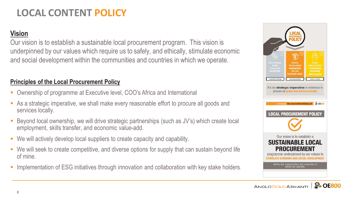### **LOCAL CONTENT POLICY**

### **Vision**

Our vision is to establish a sustainable local procurement program. This vision is underpinned by our values which require us to safely, and ethically, stimulate economic and social development within the communities and countries in which we operate.

#### **Principles of the Local Procurement Policy**

- Ownership of programme at Executive level, COO's Africa and International
- As a strategic imperative, we shall make every reasonable effort to procure all goods and services locally.
- Beyond local ownership, we will drive strategic partnerships (such as JV's) which create local employment, skills transfer, and economic value-add.
- We will actively develop local suppliers to create capacity and capability.
- We will seek to create competitive, and diverse options for supply that can sustain beyond life of mine.
- **EXT** Implementation of ESG initiatives through innovation and collaboration with key stake holders.



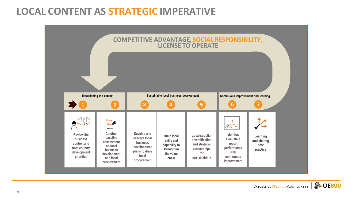### **LOCAL CONTENT AS STRATEGIC IMPERATIVE**